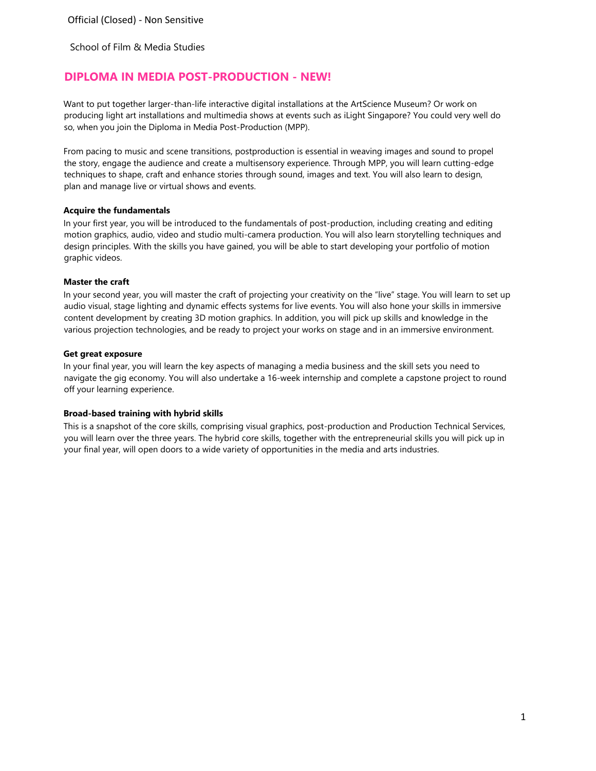School of Film & Media Studies

# **DIPLOMA IN MEDIA POST-PRODUCTION - NEW!**

Want to put together larger-than-life interactive digital installations at the ArtScience Museum? Or work on producing light art installations and multimedia shows at events such as iLight Singapore? You could very well do so, when you join the Diploma in Media Post-Production (MPP).

From pacing to music and scene transitions, postproduction is essential in weaving images and sound to propel the story, engage the audience and create a multisensory experience. Through MPP, you will learn cutting-edge techniques to shape, craft and enhance stories through sound, images and text. You will also learn to design, plan and manage live or virtual shows and events.

## **Acquire the fundamentals**

In your first year, you will be introduced to the fundamentals of post-production, including creating and editing motion graphics, audio, video and studio multi-camera production. You will also learn storytelling techniques and design principles. With the skills you have gained, you will be able to start developing your portfolio of motion graphic videos.

## **Master the craft**

In your second year, you will master the craft of projecting your creativity on the "live" stage. You will learn to set up audio visual, stage lighting and dynamic effects systems for live events. You will also hone your skills in immersive content development by creating 3D motion graphics. In addition, you will pick up skills and knowledge in the various projection technologies, and be ready to project your works on stage and in an immersive environment.

## **Get great exposure**

In your final year, you will learn the key aspects of managing a media business and the skill sets you need to navigate the gig economy. You will also undertake a 16-week internship and complete a capstone project to round off your learning experience.

# **Broad-based training with hybrid skills**

This is a snapshot of the core skills, comprising visual graphics, post-production and Production Technical Services, you will learn over the three years. The hybrid core skills, together with the entrepreneurial skills you will pick up in your final year, will open doors to a wide variety of opportunities in the media and arts industries.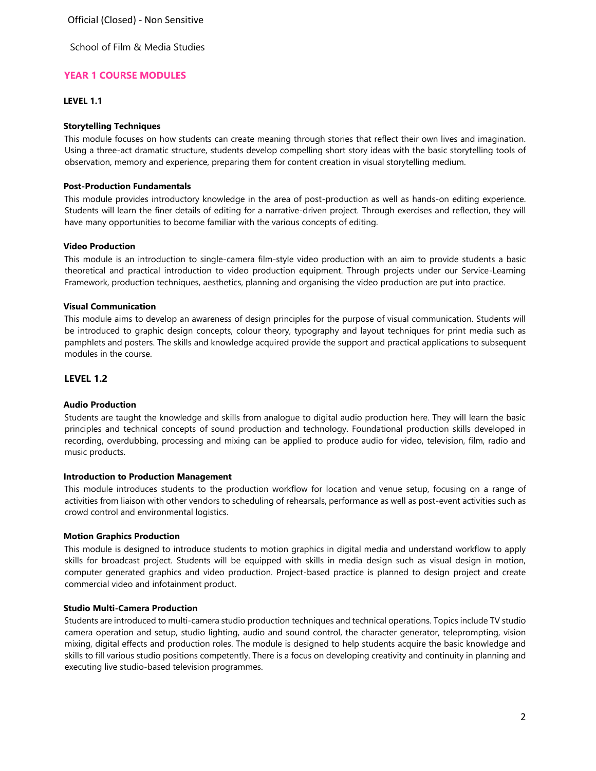School of Film & Media Studies

# **YEAR 1 COURSE MODULES**

# **LEVEL 1.1**

### **Storytelling Techniques**

This module focuses on how students can create meaning through stories that reflect their own lives and imagination. Using a three-act dramatic structure, students develop compelling short story ideas with the basic storytelling tools of observation, memory and experience, preparing them for content creation in visual storytelling medium.

### **Post-Production Fundamentals**

This module provides introductory knowledge in the area of post-production as well as hands-on editing experience. Students will learn the finer details of editing for a narrative-driven project. Through exercises and reflection, they will have many opportunities to become familiar with the various concepts of editing.

#### **Video Production**

This module is an introduction to single-camera film-style video production with an aim to provide students a basic theoretical and practical introduction to video production equipment. Through projects under our Service-Learning Framework, production techniques, aesthetics, planning and organising the video production are put into practice.

## **Visual Communication**

This module aims to develop an awareness of design principles for the purpose of visual communication. Students will be introduced to graphic design concepts, colour theory, typography and layout techniques for print media such as pamphlets and posters. The skills and knowledge acquired provide the support and practical applications to subsequent modules in the course.

# **LEVEL 1.2**

#### **Audio Production**

Students are taught the knowledge and skills from analogue to digital audio production here. They will learn the basic principles and technical concepts of sound production and technology. Foundational production skills developed in recording, overdubbing, processing and mixing can be applied to produce audio for video, television, film, radio and music products.

#### **Introduction to Production Management**

This module introduces students to the production workflow for location and venue setup, focusing on a range of activities from liaison with other vendors to scheduling of rehearsals, performance as well as post-event activities such as crowd control and environmental logistics.

#### **Motion Graphics Production**

This module is designed to introduce students to motion graphics in digital media and understand workflow to apply skills for broadcast project. Students will be equipped with skills in media design such as visual design in motion, computer generated graphics and video production. Project-based practice is planned to design project and create commercial video and infotainment product.

#### **Studio Multi-Camera Production**

Students are introduced to multi-camera studio production techniques and technical operations. Topics include TV studio camera operation and setup, studio lighting, audio and sound control, the character generator, teleprompting, vision mixing, digital effects and production roles. The module is designed to help students acquire the basic knowledge and skills to fill various studio positions competently. There is a focus on developing creativity and continuity in planning and executing live studio-based television programmes.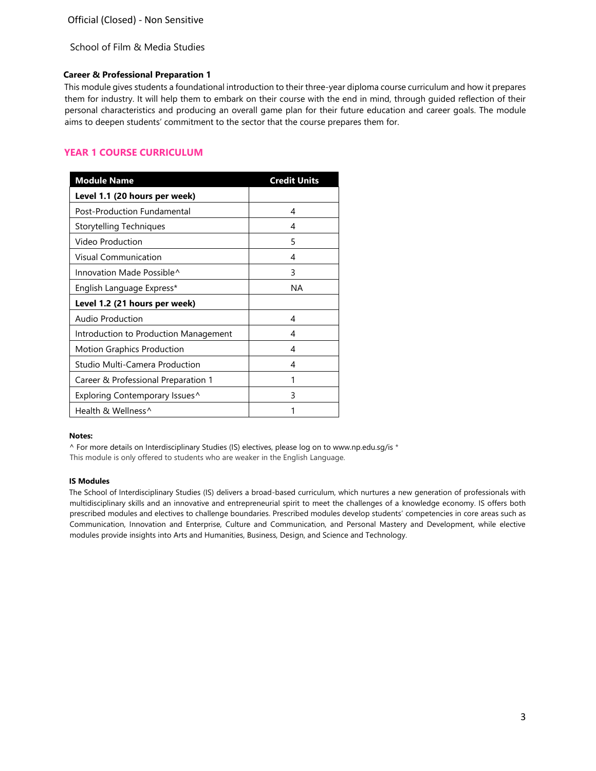School of Film & Media Studies

### **Career & Professional Preparation 1**

This module gives students a foundational introduction to their three-year diploma course curriculum and how it prepares them for industry. It will help them to embark on their course with the end in mind, through guided reflection of their personal characteristics and producing an overall game plan for their future education and career goals. The module aims to deepen students' commitment to the sector that the course prepares them for.

# **YEAR 1 COURSE CURRICULUM**

| <b>Module Name</b>                    | <b>Credit Units</b> |
|---------------------------------------|---------------------|
| Level 1.1 (20 hours per week)         |                     |
| Post-Production Fundamental           | 4                   |
| Storytelling Techniques               | 4                   |
| Video Production                      | 5                   |
| Visual Communication                  | 4                   |
| Innovation Made Possible <sup>^</sup> | 3                   |
| English Language Express*             | NA                  |
| Level 1.2 (21 hours per week)         |                     |
| Audio Production                      | 4                   |
| Introduction to Production Management | 4                   |
| Motion Graphics Production            | 4                   |
| Studio Multi-Camera Production        | 4                   |
| Career & Professional Preparation 1   | 1                   |
| Exploring Contemporary Issues^        | 3                   |
| Health & Wellness^                    |                     |

#### **Notes:**

 $\wedge$  For more details on Interdisciplinary Studies (IS) electives, please log on [to www.np.edu.sg/is](http://www.np.edu.sg/is) \* This module is only offered to students who are weaker in the English Language.

#### **IS Modules**

The School of Interdisciplinary Studies (IS) delivers a broad-based curriculum, which nurtures a new generation of professionals with multidisciplinary skills and an innovative and entrepreneurial spirit to meet the challenges of a knowledge economy. IS offers both prescribed modules and electives to challenge boundaries. Prescribed modules develop students' competencies in core areas such as Communication, Innovation and Enterprise, Culture and Communication, and Personal Mastery and Development, while elective modules provide insights into Arts and Humanities, Business, Design, and Science and Technology.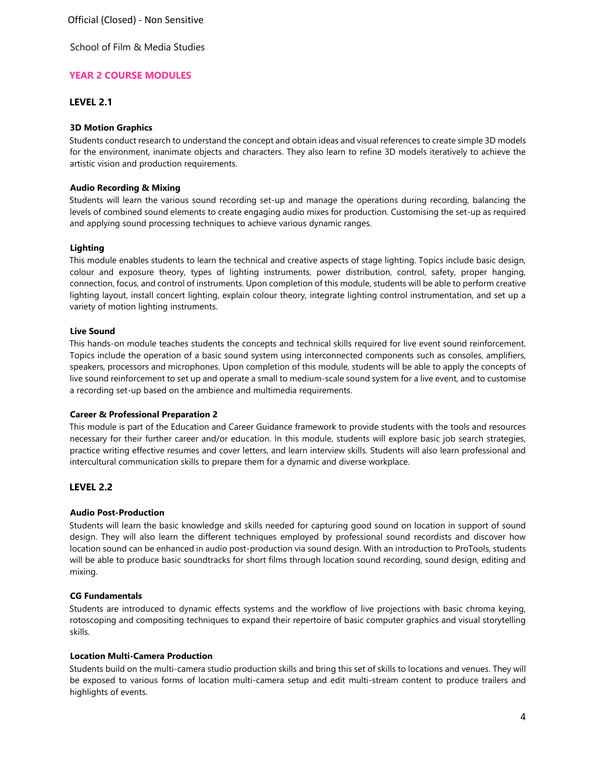School of Film & Media Studies

# **YEAR 2 COURSE MODULES**

# **LEVEL 2.1**

## **3D Motion Graphics**

Students conduct research to understand the concept and obtain ideas and visual references to create simple 3D models for the environment, inanimate objects and characters. They also learn to refine 3D models iteratively to achieve the artistic vision and production requirements.

## **Audio Recording & Mixing**

Students will learn the various sound recording set-up and manage the operations during recording, balancing the levels of combined sound elements to create engaging audio mixes for production. Customising the set-up as required and applying sound processing techniques to achieve various dynamic ranges.

## **Lighting**

This module enables students to learn the technical and creative aspects of stage lighting. Topics include basic design, colour and exposure theory, types of lighting instruments, power distribution, control, safety, proper hanging, connection, focus, and control of instruments. Upon completion of this module, students will be able to perform creative lighting layout, install concert lighting, explain colour theory, integrate lighting control instrumentation, and set up a variety of motion lighting instruments.

## **Live Sound**

This hands-on module teaches students the concepts and technical skills required for live event sound reinforcement. Topics include the operation of a basic sound system using interconnected components such as consoles, amplifiers, speakers, processors and microphones. Upon completion of this module, students will be able to apply the concepts of live sound reinforcement to set up and operate a small to medium-scale sound system for a live event, and to customise a recording set-up based on the ambience and multimedia requirements.

#### **Career & Professional Preparation 2**

This module is part of the Education and Career Guidance framework to provide students with the tools and resources necessary for their further career and/or education. In this module, students will explore basic job search strategies, practice writing effective resumes and cover letters, and learn interview skills. Students will also learn professional and intercultural communication skills to prepare them for a dynamic and diverse workplace.

# **LEVEL 2.2**

# **Audio Post-Production**

Students will learn the basic knowledge and skills needed for capturing good sound on location in support of sound design. They will also learn the different techniques employed by professional sound recordists and discover how location sound can be enhanced in audio post-production via sound design. With an introduction to ProTools, students will be able to produce basic soundtracks for short films through location sound recording, sound design, editing and mixing.

#### **CG Fundamentals**

Students are introduced to dynamic effects systems and the workflow of live projections with basic chroma keying, rotoscoping and compositing techniques to expand their repertoire of basic computer graphics and visual storytelling skills.

# **Location Multi-Camera Production**

Students build on the multi-camera studio production skills and bring this set of skills to locations and venues. They will be exposed to various forms of location multi-camera setup and edit multi-stream content to produce trailers and highlights of events.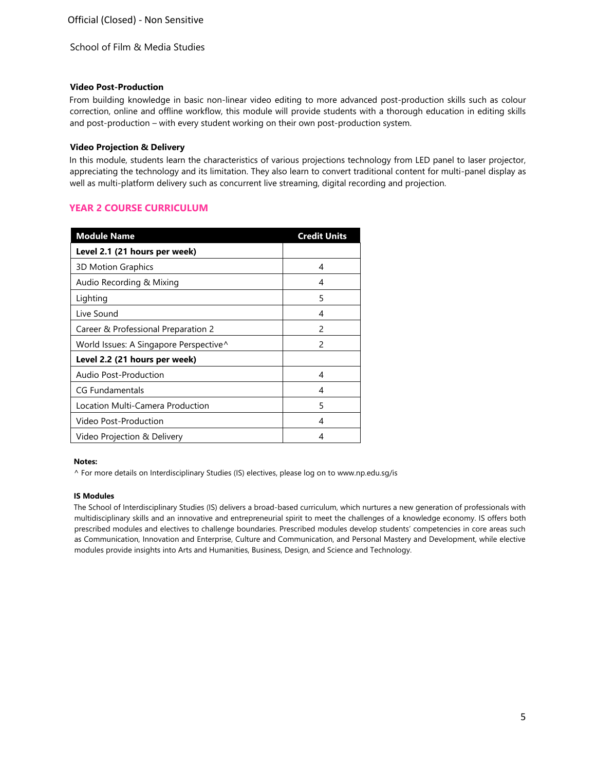School of Film & Media Studies

### **Video Post-Production**

From building knowledge in basic non-linear video editing to more advanced post-production skills such as colour correction, online and offline workflow, this module will provide students with a thorough education in editing skills and post-production – with every student working on their own post-production system.

## **Video Projection & Delivery**

In this module, students learn the characteristics of various projections technology from LED panel to laser projector, appreciating the technology and its limitation. They also learn to convert traditional content for multi-panel display as well as multi-platform delivery such as concurrent live streaming, digital recording and projection.

# **YEAR 2 COURSE CURRICULUM**

| <b>Module Name</b>                     | <b>Credit Units</b> |
|----------------------------------------|---------------------|
| Level 2.1 (21 hours per week)          |                     |
| 3D Motion Graphics                     | 4                   |
| Audio Recording & Mixing               | 4                   |
| Lighting                               | 5                   |
| Live Sound                             | 4                   |
| Career & Professional Preparation 2    | 2                   |
| World Issues: A Singapore Perspective^ | 2                   |
| Level 2.2 (21 hours per week)          |                     |
| Audio Post-Production                  | 4                   |
| CG Fundamentals                        | 4                   |
| Location Multi-Camera Production       | 5                   |
| Video Post-Production                  | 4                   |
| Video Projection & Delivery            | 4                   |

## **Notes:**

^ For more details on Interdisciplinary Studies (IS) electives, please log on [to www.np.edu.sg/is](http://www.np.edu.sg/is)

#### **IS Modules**

The School of Interdisciplinary Studies (IS) delivers a broad-based curriculum, which nurtures a new generation of professionals with multidisciplinary skills and an innovative and entrepreneurial spirit to meet the challenges of a knowledge economy. IS offers both prescribed modules and electives to challenge boundaries. Prescribed modules develop students' competencies in core areas such as Communication, Innovation and Enterprise, Culture and Communication, and Personal Mastery and Development, while elective modules provide insights into Arts and Humanities, Business, Design, and Science and Technology.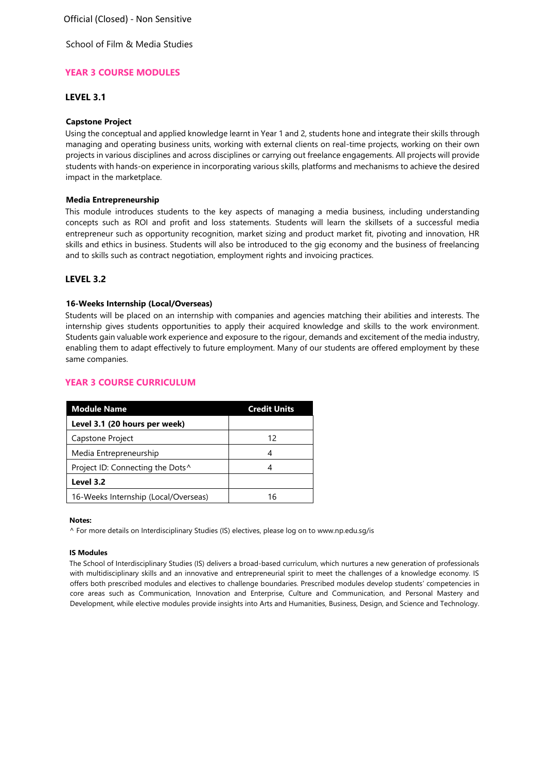School of Film & Media Studies

# **YEAR 3 COURSE MODULES**

# **LEVEL 3.1**

# **Capstone Project**

Using the conceptual and applied knowledge learnt in Year 1 and 2, students hone and integrate their skills through managing and operating business units, working with external clients on real-time projects, working on their own projects in various disciplines and across disciplines or carrying out freelance engagements. All projects will provide students with hands-on experience in incorporating various skills, platforms and mechanisms to achieve the desired impact in the marketplace.

## **Media Entrepreneurship**

This module introduces students to the key aspects of managing a media business, including understanding concepts such as ROI and profit and loss statements. Students will learn the skillsets of a successful media entrepreneur such as opportunity recognition, market sizing and product market fit, pivoting and innovation, HR skills and ethics in business. Students will also be introduced to the gig economy and the business of freelancing and to skills such as contract negotiation, employment rights and invoicing practices.

# **LEVEL 3.2**

# **16-Weeks Internship (Local/Overseas)**

Students will be placed on an internship with companies and agencies matching their abilities and interests. The internship gives students opportunities to apply their acquired knowledge and skills to the work environment. Students gain valuable work experience and exposure to the rigour, demands and excitement of the media industry, enabling them to adapt effectively to future employment. Many of our students are offered employment by these same companies.

## **YEAR 3 COURSE CURRICULUM**

| <b>Module Name</b>                           | <b>Credit Units</b> |
|----------------------------------------------|---------------------|
| Level 3.1 (20 hours per week)                |                     |
| Capstone Project                             | 12                  |
| Media Entrepreneurship                       |                     |
| Project ID: Connecting the Dots <sup>^</sup> |                     |
| Level 3.2                                    |                     |
| 16-Weeks Internship (Local/Overseas)         | 16                  |

#### **Notes:**

^ For more details on Interdisciplinary Studies (IS) electives, please log on [to www.np.edu.sg/is](http://www.np.edu.sg/is)

#### **IS Modules**

The School of Interdisciplinary Studies (IS) delivers a broad-based curriculum, which nurtures a new generation of professionals with multidisciplinary skills and an innovative and entrepreneurial spirit to meet the challenges of a knowledge economy. IS offers both prescribed modules and electives to challenge boundaries. Prescribed modules develop students' competencies in core areas such as Communication, Innovation and Enterprise, Culture and Communication, and Personal Mastery and Development, while elective modules provide insights into Arts and Humanities, Business, Design, and Science and Technology.